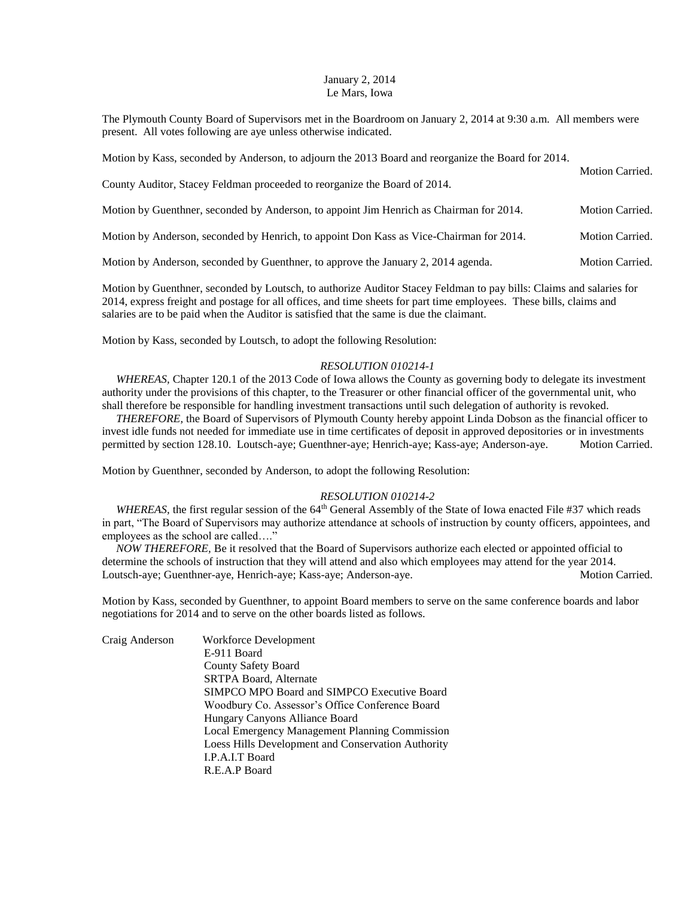## January 2, 2014 Le Mars, Iowa

The Plymouth County Board of Supervisors met in the Boardroom on January 2, 2014 at 9:30 a.m. All members were present. All votes following are aye unless otherwise indicated.

| Motion by Kass, seconded by Anderson, to adjourn the 2013 Board and reorganize the Board for 2014. | <b>Motion Carried.</b> |  |  |
|----------------------------------------------------------------------------------------------------|------------------------|--|--|
| County Auditor, Stacey Feldman proceeded to reorganize the Board of 2014.                          |                        |  |  |
| Motion by Guenthner, seconded by Anderson, to appoint Jim Henrich as Chairman for 2014.            | <b>Motion Carried.</b> |  |  |
| Motion by Anderson, seconded by Henrich, to appoint Don Kass as Vice-Chairman for 2014.            | <b>Motion Carried.</b> |  |  |
| Motion by Anderson, seconded by Guenthner, to approve the January 2, 2014 agenda.                  | <b>Motion Carried.</b> |  |  |

Motion by Guenthner, seconded by Loutsch, to authorize Auditor Stacey Feldman to pay bills: Claims and salaries for 2014, express freight and postage for all offices, and time sheets for part time employees. These bills, claims and salaries are to be paid when the Auditor is satisfied that the same is due the claimant.

Motion by Kass, seconded by Loutsch, to adopt the following Resolution:

## *RESOLUTION 010214-1*

*WHEREAS*, Chapter 120.1 of the 2013 Code of Iowa allows the County as governing body to delegate its investment authority under the provisions of this chapter, to the Treasurer or other financial officer of the governmental unit, who shall therefore be responsible for handling investment transactions until such delegation of authority is revoked.

 *THEREFORE,* the Board of Supervisors of Plymouth County hereby appoint Linda Dobson as the financial officer to invest idle funds not needed for immediate use in time certificates of deposit in approved depositories or in investments permitted by section 128.10. Loutsch-aye; Guenthner-aye; Henrich-aye; Kass-aye; Anderson-aye. Motion Carried.

Motion by Guenthner, seconded by Anderson, to adopt the following Resolution:

## *RESOLUTION 010214-2*

*WHEREAS*, the first regular session of the 64<sup>th</sup> General Assembly of the State of Iowa enacted File #37 which reads in part, "The Board of Supervisors may authorize attendance at schools of instruction by county officers, appointees, and employees as the school are called…."

 *NOW THEREFORE,* Be it resolved that the Board of Supervisors authorize each elected or appointed official to determine the schools of instruction that they will attend and also which employees may attend for the year 2014. Loutsch-aye; Guenthner-aye, Henrich-aye; Kass-aye; Anderson-aye. Motion Carried.

Motion by Kass, seconded by Guenthner, to appoint Board members to serve on the same conference boards and labor negotiations for 2014 and to serve on the other boards listed as follows.

| SIMPCO MPO Board and SIMPCO Executive Board        |
|----------------------------------------------------|
| Woodbury Co. Assessor's Office Conference Board    |
|                                                    |
| Local Emergency Management Planning Commission     |
| Loess Hills Development and Conservation Authority |
|                                                    |
|                                                    |
|                                                    |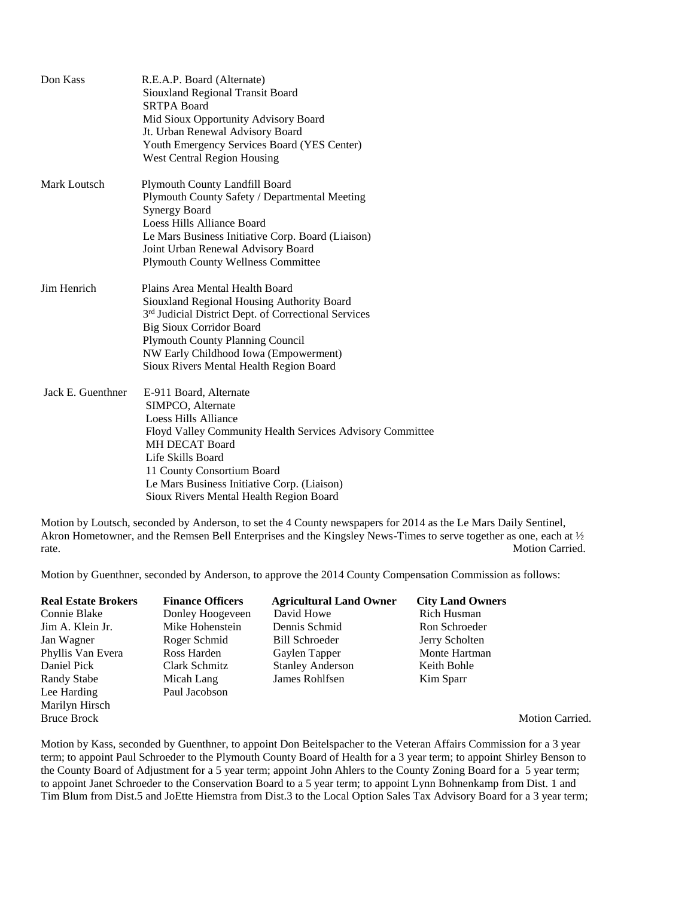| Don Kass          | R.E.A.P. Board (Alternate)<br>Siouxland Regional Transit Board<br><b>SRTPA Board</b><br>Mid Sioux Opportunity Advisory Board<br>Jt. Urban Renewal Advisory Board<br>Youth Emergency Services Board (YES Center)<br><b>West Central Region Housing</b>                                                               |
|-------------------|---------------------------------------------------------------------------------------------------------------------------------------------------------------------------------------------------------------------------------------------------------------------------------------------------------------------|
| Mark Loutsch      | Plymouth County Landfill Board<br>Plymouth County Safety / Departmental Meeting<br><b>Synergy Board</b><br>Loess Hills Alliance Board<br>Le Mars Business Initiative Corp. Board (Liaison)<br>Joint Urban Renewal Advisory Board<br><b>Plymouth County Wellness Committee</b>                                       |
| Jim Henrich       | Plains Area Mental Health Board<br>Siouxland Regional Housing Authority Board<br>3 <sup>rd</sup> Judicial District Dept. of Correctional Services<br><b>Big Sioux Corridor Board</b><br><b>Plymouth County Planning Council</b><br>NW Early Childhood Iowa (Empowerment)<br>Sioux Rivers Mental Health Region Board |
| Jack E. Guenthner | E-911 Board, Alternate<br>SIMPCO, Alternate<br>Loess Hills Alliance<br>Floyd Valley Community Health Services Advisory Committee<br><b>MH DECAT Board</b><br>Life Skills Board<br>11 County Consortium Board<br>Le Mars Business Initiative Corp. (Liaison)<br>Sioux Rivers Mental Health Region Board              |

Motion by Loutsch, seconded by Anderson, to set the 4 County newspapers for 2014 as the Le Mars Daily Sentinel, Akron Hometowner, and the Remsen Bell Enterprises and the Kingsley News-Times to serve together as one, each at ½ rate. Motion Carried.

Motion by Guenthner, seconded by Anderson, to approve the 2014 County Compensation Commission as follows:

| <b>Real Estate Brokers</b><br>Connie Blake | <b>Finance Officers</b><br>Donley Hoogeveen | <b>Agricultural Land Owner</b><br>David Howe | <b>City Land Owners</b><br>Rich Husman |
|--------------------------------------------|---------------------------------------------|----------------------------------------------|----------------------------------------|
| Jim A. Klein Jr.                           | Mike Hohenstein                             | Dennis Schmid                                | Ron Schroeder                          |
| Jan Wagner                                 | Roger Schmid                                | <b>Bill Schroeder</b>                        | Jerry Scholten                         |
| Phyllis Van Evera                          | Ross Harden                                 | Gaylen Tapper                                | Monte Hartman                          |
| Daniel Pick                                | Clark Schmitz                               | <b>Stanley Anderson</b>                      | Keith Bohle                            |
| Randy Stabe                                | Micah Lang                                  | James Rohlfsen                               | Kim Sparr                              |
| Lee Harding                                | Paul Jacobson                               |                                              |                                        |
| Marilyn Hirsch                             |                                             |                                              |                                        |

Bruce Brock Motion Carried.

Motion by Kass, seconded by Guenthner, to appoint Don Beitelspacher to the Veteran Affairs Commission for a 3 year term; to appoint Paul Schroeder to the Plymouth County Board of Health for a 3 year term; to appoint Shirley Benson to the County Board of Adjustment for a 5 year term; appoint John Ahlers to the County Zoning Board for a 5 year term; to appoint Janet Schroeder to the Conservation Board to a 5 year term; to appoint Lynn Bohnenkamp from Dist. 1 and Tim Blum from Dist.5 and JoEtte Hiemstra from Dist.3 to the Local Option Sales Tax Advisory Board for a 3 year term;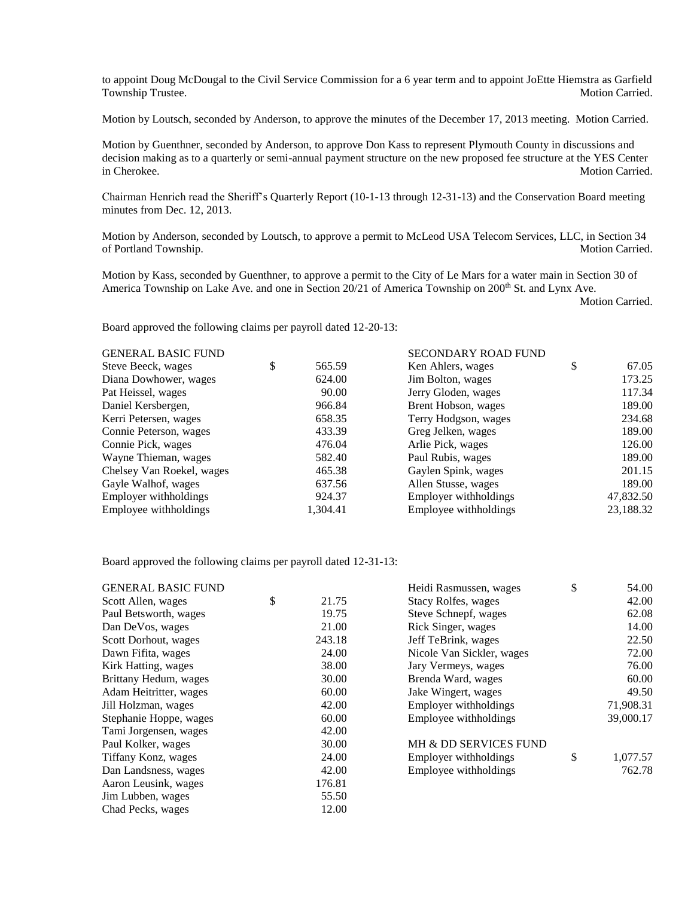to appoint Doug McDougal to the Civil Service Commission for a 6 year term and to appoint JoEtte Hiemstra as Garfield Township Trustee. Motion Carried. Motion Carried.

Motion by Loutsch, seconded by Anderson, to approve the minutes of the December 17, 2013 meeting. Motion Carried.

Motion by Guenthner, seconded by Anderson, to approve Don Kass to represent Plymouth County in discussions and decision making as to a quarterly or semi-annual payment structure on the new proposed fee structure at the YES Center in Cherokee. Motion Carried.

Chairman Henrich read the Sheriff's Quarterly Report (10-1-13 through 12-31-13) and the Conservation Board meeting minutes from Dec. 12, 2013.

Motion by Anderson, seconded by Loutsch, to approve a permit to McLeod USA Telecom Services, LLC, in Section 34 of Portland Township. Motion Carried.

Motion by Kass, seconded by Guenthner, to approve a permit to the City of Le Mars for a water main in Section 30 of America Township on Lake Ave. and one in Section 20/21 of America Township on 200<sup>th</sup> St. and Lynx Ave.

Motion Carried.

Board approved the following claims per payroll dated 12-20-13:

| <b>GENERAL BASIC FUND</b> |              | <b>SECONDARY ROAD FUND</b> |             |
|---------------------------|--------------|----------------------------|-------------|
| Steve Beeck, wages        | \$<br>565.59 | Ken Ahlers, wages          | \$<br>67.05 |
| Diana Dowhower, wages     | 624.00       | Jim Bolton, wages          | 173.25      |
| Pat Heissel, wages        | 90.00        | Jerry Gloden, wages        | 117.34      |
| Daniel Kersbergen,        | 966.84       | Brent Hobson, wages        | 189.00      |
| Kerri Petersen, wages     | 658.35       | Terry Hodgson, wages       | 234.68      |
| Connie Peterson, wages    | 433.39       | Greg Jelken, wages         | 189.00      |
| Connie Pick, wages        | 476.04       | Arlie Pick, wages          | 126.00      |
| Wayne Thieman, wages      | 582.40       | Paul Rubis, wages          | 189.00      |
| Chelsey Van Roekel, wages | 465.38       | Gaylen Spink, wages        | 201.15      |
| Gayle Walhof, wages       | 637.56       | Allen Stusse, wages        | 189.00      |
| Employer withholdings     | 924.37       | Employer withholdings      | 47,832.50   |
| Employee withholdings     | 1,304.41     | Employee withholdings      | 23,188.32   |

Board approved the following claims per payroll dated 12-31-13:

| <b>GENERAL BASIC FUND</b> |             | Heidi Rasmussen, wages    | \$<br>54.00    |
|---------------------------|-------------|---------------------------|----------------|
| Scott Allen, wages        | \$<br>21.75 | Stacy Rolfes, wages       | 42.00          |
| Paul Betsworth, wages     | 19.75       | Steve Schnepf, wages      | 62.08          |
| Dan DeVos, wages          | 21.00       | Rick Singer, wages        | 14.00          |
| Scott Dorhout, wages      | 243.18      | Jeff TeBrink, wages       | 22.50          |
| Dawn Fifita, wages        | 24.00       | Nicole Van Sickler, wages | 72.00          |
| Kirk Hatting, wages       | 38.00       | Jary Vermeys, wages       | 76.00          |
| Brittany Hedum, wages     | 30.00       | Brenda Ward, wages        | 60.00          |
| Adam Heitritter, wages    | 60.00       | Jake Wingert, wages       | 49.50          |
| Jill Holzman, wages       | 42.00       | Employer withholdings     | 71,908.31      |
| Stephanie Hoppe, wages    | 60.00       | Employee withholdings     | 39,000.17      |
| Tami Jorgensen, wages     | 42.00       |                           |                |
| Paul Kolker, wages        | 30.00       | MH & DD SERVICES FUND     |                |
| Tiffany Konz, wages       | 24.00       | Employer with holdings    | \$<br>1,077.57 |
| Dan Landsness, wages      | 42.00       | Employee withholdings     | 762.78         |
| Aaron Leusink, wages      | 176.81      |                           |                |
| Jim Lubben, wages         | 55.50       |                           |                |
| Chad Pecks, wages         | 12.00       |                           |                |